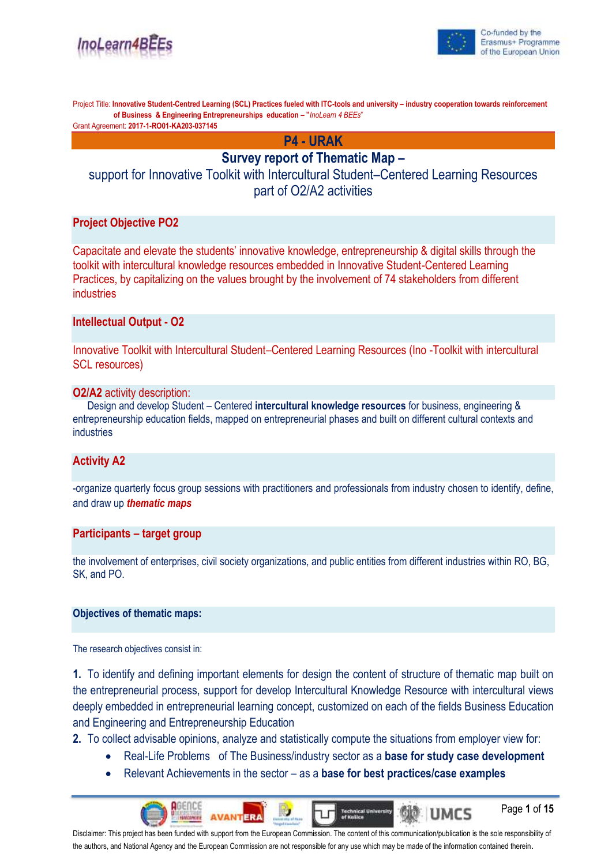



Page **1** of **15**

UMCS

Project Title: **Innovative Student-Centred Learning (SCL) Practices fueled with ITC-tools and university – industry cooperation towards reinforcement of Business & Engineering Entrepreneurships education – "***InoLearn 4 BEEs*"

Grant Agreement: **2017-1-RO01-KA203-037145**

**P4 - URAK**

## **Survey report of Thematic Map –**

support for Innovative Toolkit with Intercultural Student–Centered Learning Resources part of O2/A2 activities

## **Project Objective PO2**

Capacitate and elevate the students' innovative knowledge, entrepreneurship & digital skills through the toolkit with intercultural knowledge resources embedded in Innovative Student-Centered Learning Practices, by capitalizing on the values brought by the involvement of 74 stakeholders from different industries

## **Intellectual Output - O2**

Innovative Toolkit with Intercultural Student–Centered Learning Resources (Ino -Toolkit with intercultural SCL resources)

## **O2/A2** activity description:

Design and develop Student – Centered **intercultural knowledge resources** for business, engineering & entrepreneurship education fields, mapped on entrepreneurial phases and built on different cultural contexts and industries

## **Activity A2**

-organize quarterly focus group sessions with practitioners and professionals from industry chosen to identify, define, and draw up *thematic maps*

### **Participants – target group**

the involvement of enterprises, civil society organizations, and public entities from different industries within RO, BG, SK, and PO.

### **Objectives of thematic maps:**

The research objectives consist in:

**1.** To identify and defining important elements for design the content of structure of thematic map built on the entrepreneurial process, support for develop Intercultural Knowledge Resource with intercultural views deeply embedded in entrepreneurial learning concept, customized on each of the fields Business Education and Engineering and Entrepreneurship Education

**2.** To collect advisable opinions, analyze and statistically compute the situations from employer view for:

• Real-Life Problems of The Business/industry sector as a **base for study case development**

**Technical University**<br>of Kušice

• Relevant Achievements in the sector – as a **base for best practices/case examples**

Disclaimer: This project has been funded with support from the European Commission. The content of this communication/publication is the sole responsibility of the authors, and National Agency and the European Commission are not responsible for any use which may be made of the information contained therein.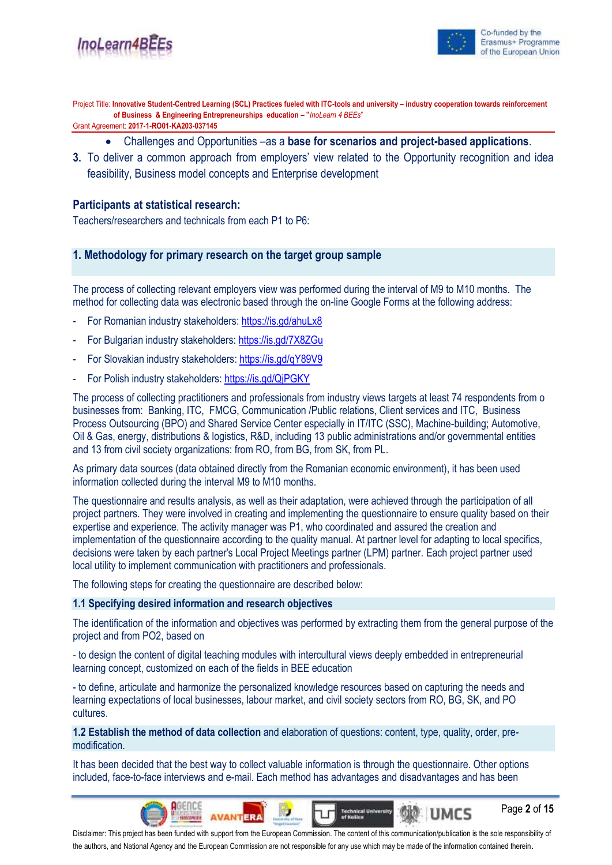

Page **2** of **15**

UMCS

Project Title: **Innovative Student-Centred Learning (SCL) Practices fueled with ITC-tools and university – industry cooperation towards reinforcement of Business & Engineering Entrepreneurships education – "***InoLearn 4 BEEs*"

Grant Agreement: **2017-1-RO01-KA203-037145**

- Challenges and Opportunities –as a **base for scenarios and project-based applications**.
- **3.** To deliver a common approach from employers' view related to the Opportunity recognition and idea feasibility, Business model concepts and Enterprise development

### **Participants at statistical research:**

Teachers/researchers and technicals from each P1 to P6:

## **1. Methodology for primary research on the target group sample**

The process of collecting relevant employers view was performed during the interval of M9 to M10 months. The method for collecting data was electronic based through the on-line Google Forms at the following address:

- For Romanian industry stakeholders:<https://is.gd/ahuLx8>
- For Bulgarian industry stakeholders: <https://is.gd/7X8ZGu>
- For Slovakian industry stakeholders:<https://is.gd/qY89V9>
- For Polish industry stakeholders[: https://is.gd/QjPGKY](https://is.gd/QjPGKY)

The process of collecting practitioners and professionals from industry views targets at least 74 respondents from o businesses from: Banking, ITC, FMCG, Communication /Public relations, Client services and ITC, Business Process Outsourcing (BPO) and Shared Service Center especially in IT/ITC (SSC), Machine-building; Automotive, Oil & Gas, energy, distributions & logistics, R&D, including 13 public administrations and/or governmental entities and 13 from civil society organizations: from RO, from BG, from SK, from PL.

As primary data sources (data obtained directly from the Romanian economic environment), it has been used information collected during the interval M9 to M10 months.

The questionnaire and results analysis, as well as their adaptation, were achieved through the participation of all project partners. They were involved in creating and implementing the questionnaire to ensure quality based on their expertise and experience. The activity manager was P1, who coordinated and assured the creation and implementation of the questionnaire according to the quality manual. At partner level for adapting to local specifics, decisions were taken by each partner's Local Project Meetings partner (LPM) partner. Each project partner used local utility to implement communication with practitioners and professionals.

The following steps for creating the questionnaire are described below:

### **1.1 Specifying desired information and research objectives**

The identification of the information and objectives was performed by extracting them from the general purpose of the project and from PO2, based on

- to design the content of digital teaching modules with intercultural views deeply embedded in entrepreneurial learning concept, customized on each of the fields in BEE education

- to define, articulate and harmonize the personalized knowledge resources based on capturing the needs and learning expectations of local businesses, labour market, and civil society sectors from RO, BG, SK, and PO cultures.

**1.2 Establish the method of data collection** and elaboration of questions: content, type, quality, order, premodification.

It has been decided that the best way to collect valuable information is through the questionnaire. Other options included, face-to-face interviews and e-mail. Each method has advantages and disadvantages and has been

Disclaimer: This project has been funded with support from the European Commission. The content of this communication/publication is the sole responsibility of the authors, and National Agency and the European Commission are not responsible for any use which may be made of the information contained therein.

**Technical University**<br>of Kušice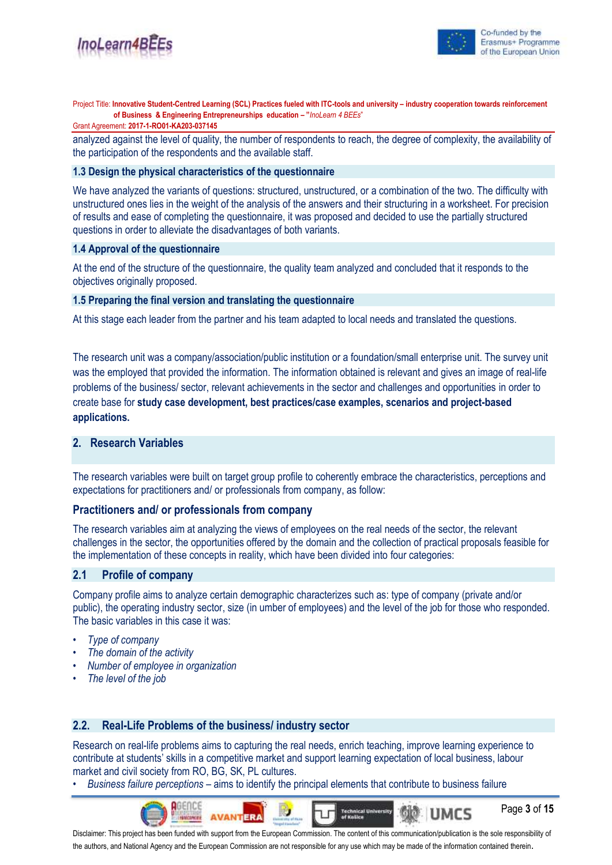

Page **3** of **15**

UMCS

Project Title: **Innovative Student-Centred Learning (SCL) Practices fueled with ITC-tools and university – industry cooperation towards reinforcement of Business & Engineering Entrepreneurships education – "***InoLearn 4 BEEs*"

#### Grant Agreement: **2017-1-RO01-KA203-037145**

analyzed against the level of quality, the number of respondents to reach, the degree of complexity, the availability of the participation of the respondents and the available staff.

#### **1.3 Design the physical characteristics of the questionnaire**

We have analyzed the variants of questions: structured, unstructured, or a combination of the two. The difficulty with unstructured ones lies in the weight of the analysis of the answers and their structuring in a worksheet. For precision of results and ease of completing the questionnaire, it was proposed and decided to use the partially structured questions in order to alleviate the disadvantages of both variants.

#### **1.4 Approval of the questionnaire**

At the end of the structure of the questionnaire, the quality team analyzed and concluded that it responds to the objectives originally proposed.

### **1.5 Preparing the final version and translating the questionnaire**

At this stage each leader from the partner and his team adapted to local needs and translated the questions.

The research unit was a company/association/public institution or a foundation/small enterprise unit. The survey unit was the employed that provided the information. The information obtained is relevant and gives an image of real-life problems of the business/ sector, relevant achievements in the sector and challenges and opportunities in order to create base for **study case development, best practices/case examples, scenarios and project-based applications.**

## **2. Research Variables**

The research variables were built on target group profile to coherently embrace the characteristics, perceptions and expectations for practitioners and/ or professionals from company, as follow:

### **Practitioners and/ or professionals from company**

The research variables aim at analyzing the views of employees on the real needs of the sector, the relevant challenges in the sector, the opportunities offered by the domain and the collection of practical proposals feasible for the implementation of these concepts in reality, which have been divided into four categories:

### **2.1 Profile of company**

Company profile aims to analyze certain demographic characterizes such as: type of company (private and/or public), the operating industry sector, size (in umber of employees) and the level of the job for those who responded. The basic variables in this case it was:

- *Type of company*
- *• The domain of the activity*
- *• Number of employee in organization*
- *• The level of the job*

### **2.2. Real-Life Problems of the business/ industry sector**

Research on real-life problems aims to capturing the real needs, enrich teaching, improve learning experience to contribute at students' skills in a competitive market and support learning expectation of local business, labour market and civil society from RO, BG, SK, PL cultures.

• *Business failure perceptions* – aims to identify the principal elements that contribute to business failure

**ERA** 

Disclaimer: This project has been funded with support from the European Commission. The content of this communication/publication is the sole responsibility of the authors, and National Agency and the European Commission are not responsible for any use which may be made of the information contained therein.

**Technical University**<br>of Košice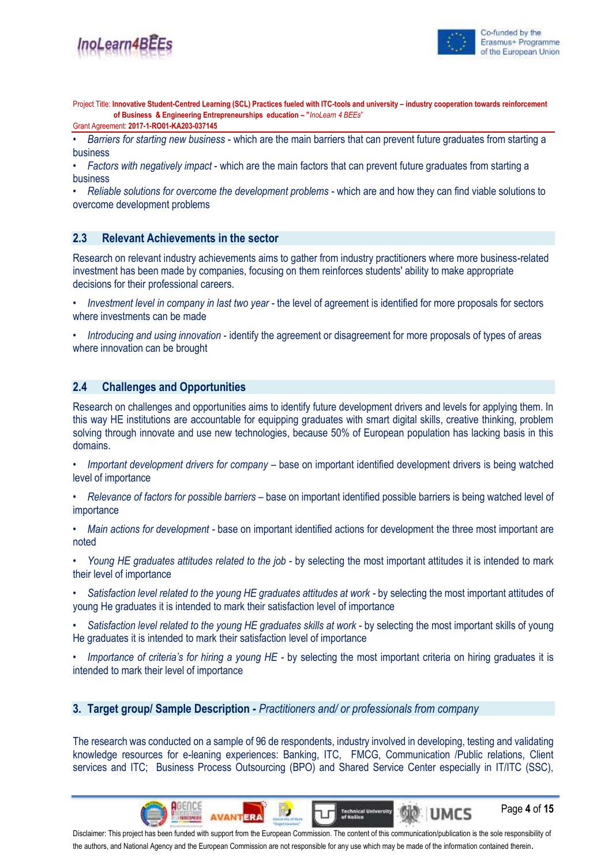

Page **4** of **15**

umcs

Project Title: **Innovative Student-Centred Learning (SCL) Practices fueled with ITC-tools and university – industry cooperation towards reinforcement of Business & Engineering Entrepreneurships education – "***InoLearn 4 BEEs*"

Grant Agreement: **2017-1-RO01-KA203-037145**

• *Barriers for starting new business* - which are the main barriers that can prevent future graduates from starting a business

• *Factors with negatively impact* - which are the main factors that can prevent future graduates from starting a business

• *Reliable solutions for overcome the development problems* - which are and how they can find viable solutions to overcome development problems

## **2.3 Relevant Achievements in the sector**

Research on relevant industry achievements aims to gather from industry practitioners where more business-related investment has been made by companies, focusing on them reinforces students' ability to make appropriate decisions for their professional careers.

- *Investment level in company in last two year* the level of agreement is identified for more proposals for sectors where investments can be made
- *Introducing and using innovation* identify the agreement or disagreement for more proposals of types of areas where innovation can be brought

### **2.4 Challenges and Opportunities**

Research on challenges and opportunities aims to identify future development drivers and levels for applying them. In this way HE institutions are accountable for equipping graduates with smart digital skills, creative thinking, problem solving through innovate and use new technologies, because 50% of European population has lacking basis in this domains.

- *Important development drivers for company –* base on important identified development drivers is being watched level of importance
- *• Relevance of factors for possible barriers –* base on important identified possible barriers is being watched level of importance
- *• Main actions for development -* base on important identified actions for development the three most important are noted
- *• Young HE graduates attitudes related to the job* by selecting the most important attitudes it is intended to mark their level of importance
- *• Satisfaction level related to the young HE graduates attitudes at work -* by selecting the most important attitudes of young He graduates it is intended to mark their satisfaction level of importance
- *• Satisfaction level related to the young HE graduates skills at work* by selecting the most important skills of young He graduates it is intended to mark their satisfaction level of importance
- *• Importance of criteria's for hiring a young HE -* by selecting the most important criteria on hiring graduates it is intended to mark their level of importance

**3. Target group/ Sample Description -** *Practitioners and/ or professionals from company*

The research was conducted on a sample of 96 de respondents, industry involved in developing, testing and validating knowledge resources for e-leaning experiences: Banking, ITC, FMCG, Communication /Public relations, Client services and ITC; Business Process Outsourcing (BPO) and Shared Service Center especially in IT/ITC (SSC),

**Technical University**<br>of Kušice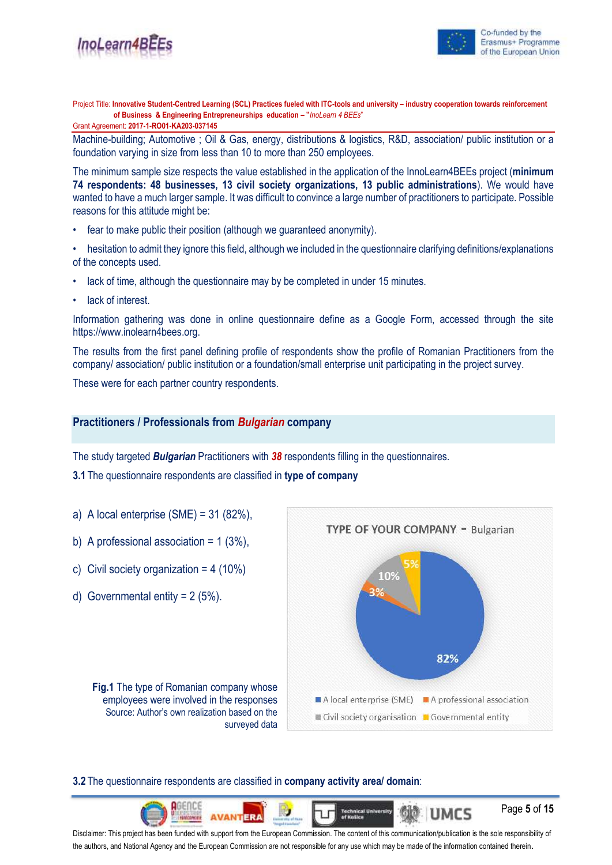

Grant Agreement: **2017-1-RO01-KA203-037145**

Machine-building; Automotive ; Oil & Gas, energy, distributions & logistics, R&D, association/ public institution or a foundation varying in size from less than 10 to more than 250 employees.

The minimum sample size respects the value established in the application of the InnoLearn4BEEs project (**minimum 74 respondents: 48 businesses, 13 civil society organizations, 13 public administrations**). We would have wanted to have a much larger sample. It was difficult to convince a large number of practitioners to participate. Possible reasons for this attitude might be:

- fear to make public their position (although we guaranteed anonymity).
- hesitation to admit they ignore this field, although we included in the questionnaire clarifying definitions/explanations of the concepts used.
- lack of time, although the questionnaire may by be completed in under 15 minutes.
- lack of interest.

Information gathering was done in online questionnaire define as a Google Form, accessed through the site https://www.inolearn4bees.org.

The results from the first panel defining profile of respondents show the profile of Romanian Practitioners from the company/ association/ public institution or a foundation/small enterprise unit participating in the project survey.

These were for each partner country respondents.

### **Practitioners / Professionals from** *Bulgarian* **company**

The study targeted *Bulgarian* Practitioners with *38* respondents filling in the questionnaires.

**3.1** The questionnaire respondents are classified in **type of company**

- a) A local enterprise  $(SME) = 31 (82\%).$
- b) A professional association =  $1(3\%)$ .
- c) Civil society organization =  $4(10\%)$
- d) Governmental entity  $= 2 (5\%)$ .



UMCS

Page **5** of **15**

**Fig.1** The type of Romanian company whose employees were involved in the responses Source: Author's own realization based on the surveyed data

## **3.2** The questionnaire respondents are classified in **company activity area/ domain**:

**Technical University**<br>of Košice **IERA** Disclaimer: This project has been funded with support from the European Commission. The content of this communication/publication is the sole responsibility of the authors, and National Agency and the European Commission are not responsible for any use which may be made of the information contained therein.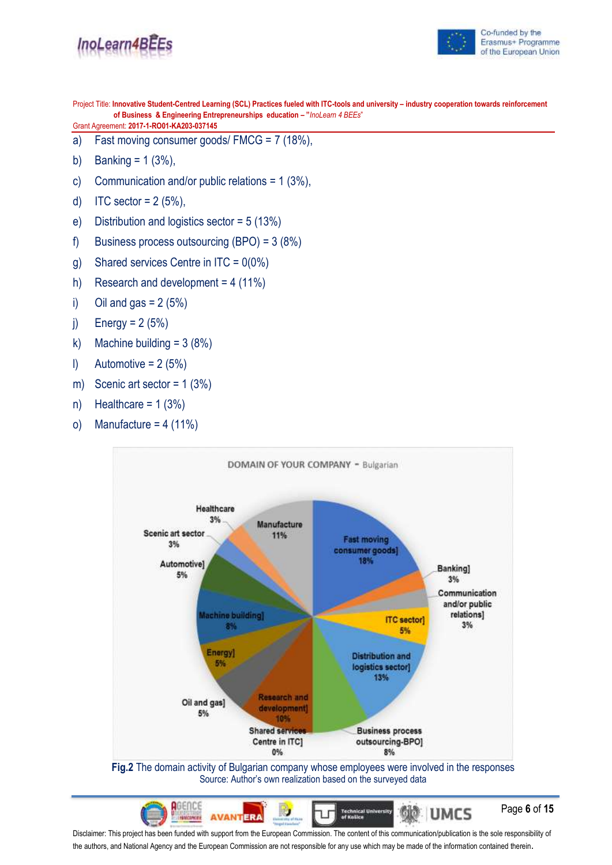



Project Title: **Innovative Student-Centred Learning (SCL) Practices fueled with ITC-tools and university – industry cooperation towards reinforcement of Business & Engineering Entrepreneurships education – "***InoLearn 4 BEEs*"

Grant Agreement: **2017-1-RO01-KA203-037145**

- a) Fast moving consumer goods/ FMCG = 7 (18%),
- b) Banking =  $1 (3\%)$ ,
- c) Communication and/or public relations = 1 (3%),
- d) ITC sector =  $2(5\%)$ ,
- e) Distribution and logistics sector = 5 (13%)
- f) Business process outsourcing (BPO) = 3 (8%)
- g) Shared services Centre in  $ITC = 0(0\%)$
- h) Research and development =  $4(11\%)$
- i) Oil and gas  $= 2 (5%)$
- j) Energy =  $2(5%)$
- k) Machine building  $= 3 (8%)$
- $l)$  Automotive = 2 (5%)
- m) Scenic art sector = 1 (3%)
- n) Healthcare =  $1(3%)$
- o) Manufacture =  $4(11\%)$



Disclaimer: This project has been funded with support from the European Commission. The content of this communication/publication is the sole responsibility of the authors, and National Agency and the European Commission are not responsible for any use which may be made of the information contained therein.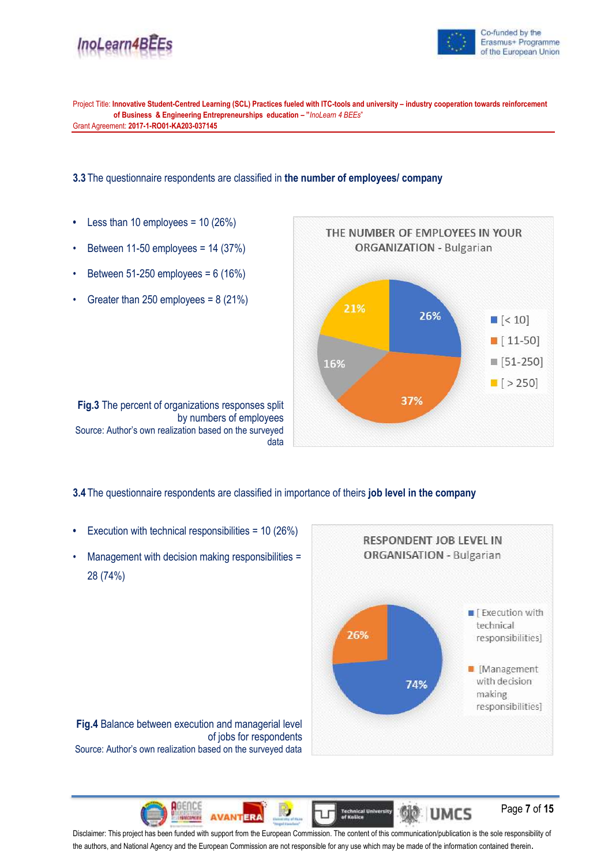



Project Title: **Innovative Student-Centred Learning (SCL) Practices fueled with ITC-tools and university – industry cooperation towards reinforcement of Business & Engineering Entrepreneurships education – "***InoLearn 4 BEEs*" Grant Agreement: **2017-1-RO01-KA203-037145**

**3.3** The questionnaire respondents are classified in **the number of employees/ company**

- **•** Less than 10 employees = 10 (26%)
- Between 11-50 employees = 14 (37%)
- Between 51-250 employees = 6 (16%)
- Greater than 250 employees =  $8(21\%)$



by numbers of employees Source: Author's own realization based on the surveyed data

**Fig.3** The percent of organizations responses split

**3.4** The questionnaire respondents are classified in importance of theirs **job level in the company**

- **•** Execution with technical responsibilities = 10 (26%)
- Management with decision making responsibilities = 28 (74%)



Page **7** of **15**

**Fig.4** Balance between execution and managerial level of jobs for respondents Source: Author's own realization based on the surveyed data

**Technical University**<br>of Košice ଷ୍ଠା®ାUMCS **AVANTERA** Disclaimer: This project has been funded with support from the European Commission. The content of this communication/publication is the sole responsibility of the authors, and National Agency and the European Commission are not responsible for any use which may be made of the information contained therein.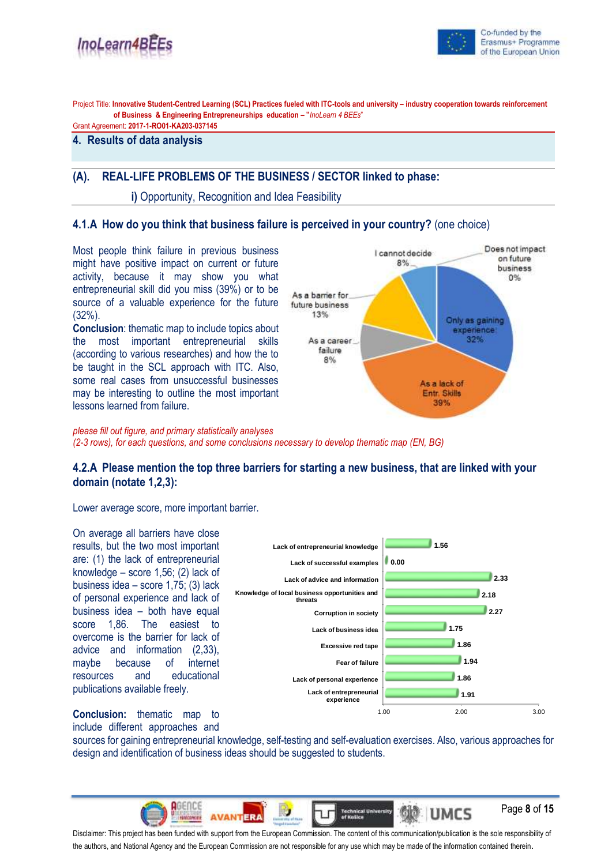



Project Title: **Innovative Student-Centred Learning (SCL) Practices fueled with ITC-tools and university – industry cooperation towards reinforcement of Business & Engineering Entrepreneurships education – "***InoLearn 4 BEEs*"

Grant Agreement: **2017-1-RO01-KA203-037145**

## **4. Results of data analysis**

#### **(A). REAL-LIFE PROBLEMS OF THE BUSINESS / SECTOR linked to phase:**

**i)** Opportunity, Recognition and Idea Feasibility

### **4.1.A How do you think that business failure is perceived in your country?** (one choice)

Most people think failure in previous business might have positive impact on current or future activity, because it may show you what entrepreneurial skill did you miss (39%) or to be source of a valuable experience for the future (32%).

**Conclusion**: thematic map to include topics about the most important entrepreneurial skills (according to various researches) and how the to be taught in the SCL approach with ITC. Also, some real cases from unsuccessful businesses may be interesting to outline the most important lessons learned from failure.



*please fill out figure, and primary statistically analyses (2-3 rows), for each questions, and some conclusions necessary to develop thematic map (EN, BG)*

## **4.2.A Please mention the top three barriers for starting a new business, that are linked with your domain (notate 1,2,3):**

Lower average score, more important barrier.

On average all barriers have close results, but the two most important are: (1) the lack of entrepreneurial knowledge – score 1,56; (2) lack of business idea – score 1,75; (3) lack of personal experience and lack of business idea – both have equal score 1,86. The easiest to overcome is the barrier for lack of advice and information (2,33), maybe because of internet resources and educational publications available freely.



**Conclusion:** thematic map to include different approaches and

sources for gaining entrepreneurial knowledge, self-testing and self-evaluation exercises. Also, various approaches for design and identification of business ideas should be suggested to students.



the authors, and National Agency and the European Commission are not responsible for any use which may be made of the information contained therein.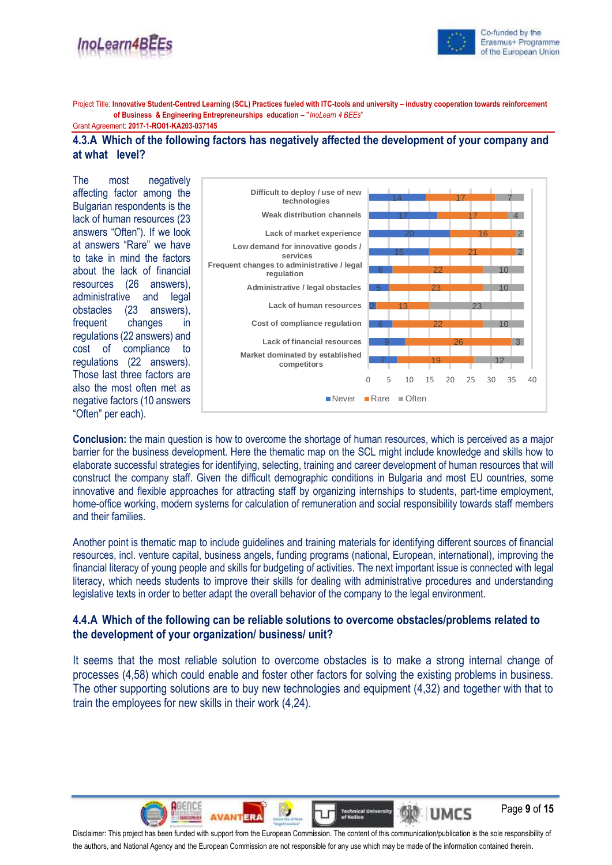



Page **9** of **15**

**UMCS** 

Project Title: **Innovative Student-Centred Learning (SCL) Practices fueled with ITC-tools and university – industry cooperation towards reinforcement of Business & Engineering Entrepreneurships education – "***InoLearn 4 BEEs*"

Grant Agreement: **2017-1-RO01-KA203-037145**

### **4.3.A Which of the following factors has negatively affected the development of your company and at what level?**

The most negatively affecting factor among the Bulgarian respondents is the lack of human resources (23 answers "Often"). If we look at answers "Rare" we have to take in mind the factors about the lack of financial resources (26 answers), administrative and legal obstacles (23 answers), frequent changes in regulations (22 answers) and cost of compliance to regulations (22 answers). Those last three factors are also the most often met as negative factors (10 answers "Often" per each).



**Conclusion:** the main question is how to overcome the shortage of human resources, which is perceived as a major barrier for the business development. Here the thematic map on the SCL might include knowledge and skills how to elaborate successful strategies for identifying, selecting, training and career development of human resources that will construct the company staff. Given the difficult demographic conditions in Bulgaria and most EU countries, some innovative and flexible approaches for attracting staff by organizing internships to students, part-time employment, home-office working, modern systems for calculation of remuneration and social responsibility towards staff members and their families.

Another point is thematic map to include guidelines and training materials for identifying different sources of financial resources, incl. venture capital, business angels, funding programs (national, European, international), improving the financial literacy of young people and skills for budgeting of activities. The next important issue is connected with legal literacy, which needs students to improve their skills for dealing with administrative procedures and understanding legislative texts in order to better adapt the overall behavior of the company to the legal environment.

## **4.4.A Which of the following can be reliable solutions to overcome obstacles/problems related to the development of your organization/ business/ unit?**

It seems that the most reliable solution to overcome obstacles is to make a strong internal change of processes (4,58) which could enable and foster other factors for solving the existing problems in business. The other supporting solutions are to buy new technologies and equipment (4,32) and together with that to train the employees for new skills in their work (4,24).

Disclaimer: This project has been funded with support from the European Commission. The content of this communication/publication is the sole responsibility of the authors, and National Agency and the European Commission are not responsible for any use which may be made of the information contained therein.

**ERA** 

**AVANT** 

**Technical University**<br>of Kušice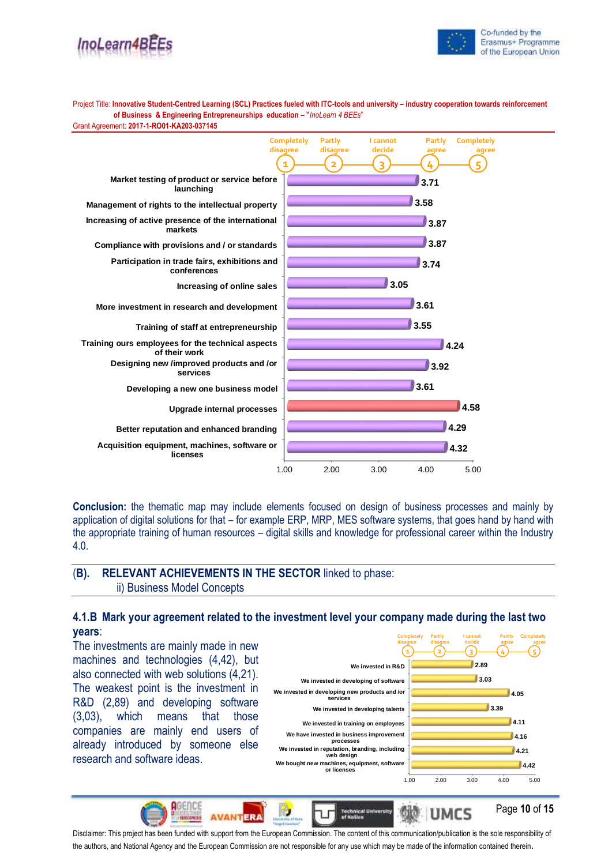



Project Title: **Innovative Student-Centred Learning (SCL) Practices fueled with ITC-tools and university – industry cooperation towards reinforcement of Business & Engineering Entrepreneurships education – "***InoLearn 4 BEEs*" Grant Agreement: **2017-1-RO01-KA203-037145**



**Conclusion:** the thematic map may include elements focused on design of business processes and mainly by application of digital solutions for that – for example ERP, MRP, MES software systems, that goes hand by hand with the appropriate training of human resources – digital skills and knowledge for professional career within the Industry 4.0.

## (**B). RELEVANT ACHIEVEMENTS IN THE SECTOR** linked to phase: ii) Business Model Concepts

**AVANTERA** 

### **4.1.B Mark your agreement related to the investment level your company made during the last two years**:

The investments are mainly made in new machines and technologies (4,42), but also connected with web solutions (4,21). The weakest point is the investment in R&D (2,89) and developing software (3,03), which means that those companies are mainly end users of already introduced by someone else research and software ideas.

RGENCO



UMCS

Page **10** of **15**

Disclaimer: This project has been funded with support from the European Commission. The content of this communication/publication is the sole responsibility of the authors, and National Agency and the European Commission are not responsible for any use which may be made of the information contained therein.

**Technical University**<br>of Košice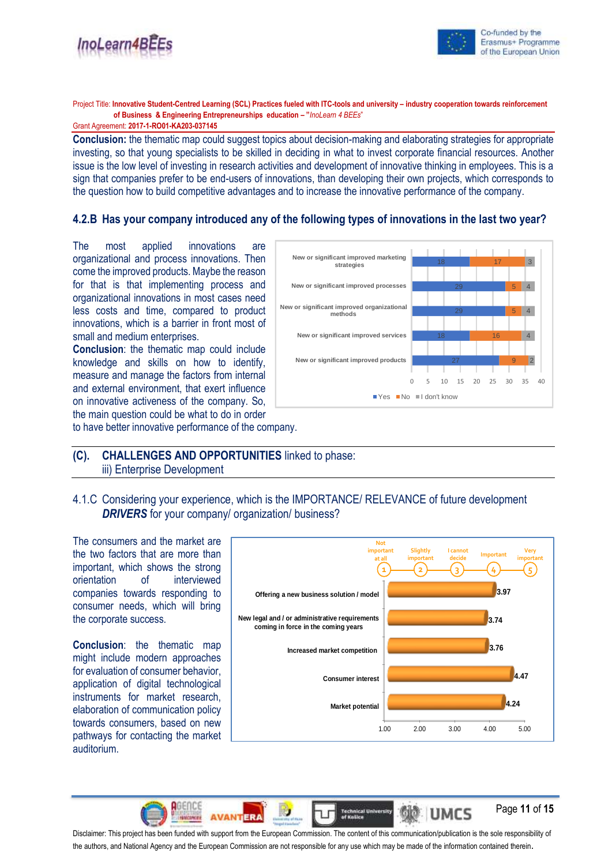



Page **11** of **15**

Project Title: **Innovative Student-Centred Learning (SCL) Practices fueled with ITC-tools and university – industry cooperation towards reinforcement of Business & Engineering Entrepreneurships education – "***InoLearn 4 BEEs*"

Grant Agreement: **2017-1-RO01-KA203-037145**

**Conclusion:** the thematic map could suggest topics about decision-making and elaborating strategies for appropriate investing, so that young specialists to be skilled in deciding in what to invest corporate financial resources. Another issue is the low level of investing in research activities and development of innovative thinking in employees. This is a sign that companies prefer to be end-users of innovations, than developing their own projects, which corresponds to the question how to build competitive advantages and to increase the innovative performance of the company.

## **4.2.B Has your company introduced any of the following types of innovations in the last two year?**

The most applied innovations are organizational and process innovations. Then come the improved products. Maybe the reason for that is that implementing process and organizational innovations in most cases need less costs and time, compared to product innovations, which is a barrier in front most of small and medium enterprises.

**Conclusion**: the thematic map could include knowledge and skills on how to identify, measure and manage the factors from internal and external environment, that exert influence on innovative activeness of the company. So, the main question could be what to do in order



to have better innovative performance of the company.

## **(C). CHALLENGES AND OPPORTUNITIES** linked to phase: iii) Enterprise Development

## 4.1.C Considering your experience, which is the IMPORTANCE/ RELEVANCE of future development **DRIVERS** for your company/ organization/ business?

The consumers and the market are the two factors that are more than important, which shows the strong orientation of interviewed companies towards responding to consumer needs, which will bring the corporate success.

**Conclusion**: the thematic map might include modern approaches for evaluation of consumer behavior, application of digital technological instruments for market research, elaboration of communication policy towards consumers, based on new pathways for contacting the market auditorium.



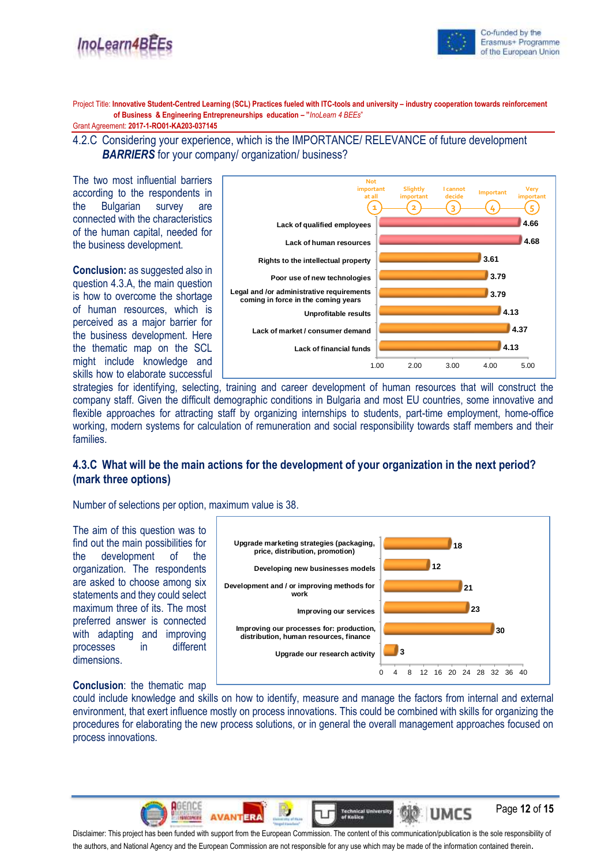



Project Title: **Innovative Student-Centred Learning (SCL) Practices fueled with ITC-tools and university – industry cooperation towards reinforcement of Business & Engineering Entrepreneurships education – "***InoLearn 4 BEEs*"

Grant Agreement: **2017-1-RO01-KA203-037145**

4.2.C Considering your experience, which is the IMPORTANCE/ RELEVANCE of future development **BARRIERS** for your company/ organization/ business?

The two most influential barriers according to the respondents in the Bulgarian survey are connected with the characteristics of the human capital, needed for the business development.

**Conclusion:** as suggested also in question 4.3.A, the main question is how to overcome the shortage of human resources, which is perceived as a major barrier for the business development. Here the thematic map on the SCL might include knowledge and skills how to elaborate successful



strategies for identifying, selecting, training and career development of human resources that will construct the company staff. Given the difficult demographic conditions in Bulgaria and most EU countries, some innovative and flexible approaches for attracting staff by organizing internships to students, part-time employment, home-office working, modern systems for calculation of remuneration and social responsibility towards staff members and their families.

## **4.3.C What will be the main actions for the development of your organization in the next period? (mark three options)**

Number of selections per option, maximum value is 38.

The aim of this question was to find out the main possibilities for the development of the organization. The respondents are asked to choose among six statements and they could select maximum three of its. The most preferred answer is connected with adapting and improving processes in different dimensions.



## **Conclusion**: the thematic map

could include knowledge and skills on how to identify, measure and manage the factors from internal and external environment, that exert influence mostly on process innovations. This could be combined with skills for organizing the procedures for elaborating the new process solutions, or in general the overall management approaches focused on process innovations.



Disclaimer: This project has been funded with support from the European Commission. The content of this communication/publication is the sole responsibility of the authors, and National Agency and the European Commission are not responsible for any use which may be made of the information contained therein.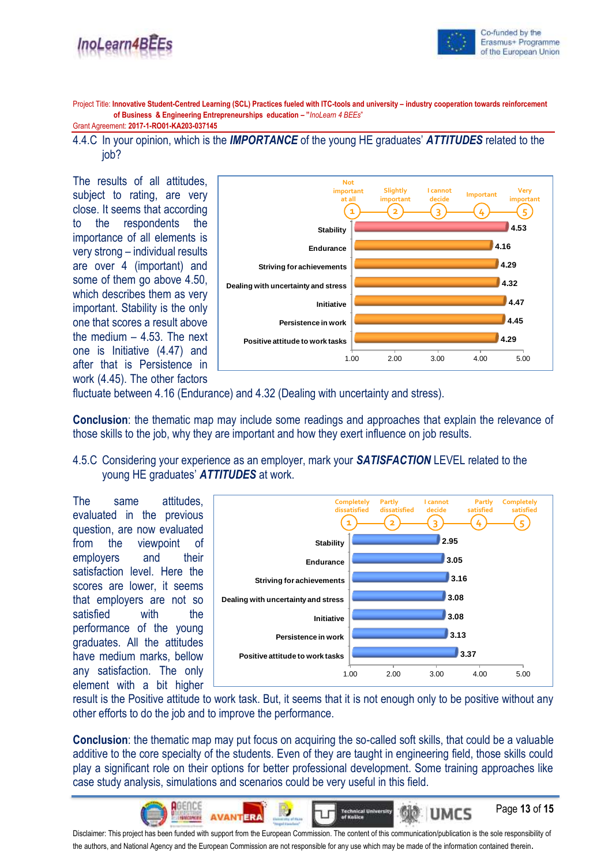

Page **13** of **15**

UMCS

Project Title: **Innovative Student-Centred Learning (SCL) Practices fueled with ITC-tools and university – industry cooperation towards reinforcement of Business & Engineering Entrepreneurships education – "***InoLearn 4 BEEs*"

Grant Agreement: **2017-1-RO01-KA203-037145**

4.4.C In your opinion, which is the *IMPORTANCE* of the young HE graduates' *ATTITUDES* related to the job?

The results of all attitudes, subject to rating, are very close. It seems that according to the respondents the importance of all elements is very strong – individual results are over 4 (important) and some of them go above 4.50, which describes them as very important. Stability is the only one that scores a result above the medium  $-4.53$ . The next one is Initiative (4.47) and after that is Persistence in work (4.45). The other factors



fluctuate between 4.16 (Endurance) and 4.32 (Dealing with uncertainty and stress).

**Conclusion**: the thematic map may include some readings and approaches that explain the relevance of those skills to the job, why they are important and how they exert influence on job results.

4.5.C Considering your experience as an employer, mark your *SATISFACTION* LEVEL related to the young HE graduates' *ATTITUDES* at work.

The same attitudes, evaluated in the previous question, are now evaluated from the viewpoint of employers and their satisfaction level. Here the scores are lower, it seems that employers are not so satisfied with the performance of the young graduates. All the attitudes have medium marks, bellow any satisfaction. The only element with a bit higher



result is the Positive attitude to work task. But, it seems that it is not enough only to be positive without any other efforts to do the job and to improve the performance.

**Conclusion**: the thematic map may put focus on acquiring the so-called soft skills, that could be a valuable additive to the core specialty of the students. Even of they are taught in engineering field, those skills could play a significant role on their options for better professional development. Some training approaches like case study analysis, simulations and scenarios could be very useful in this field.

**Technical University**<br>of Košice **AVANTERA** Disclaimer: This project has been funded with support from the European Commission. The content of this communication/publication is the sole responsibility of the authors, and National Agency and the European Commission are not responsible for any use which may be made of the information contained therein.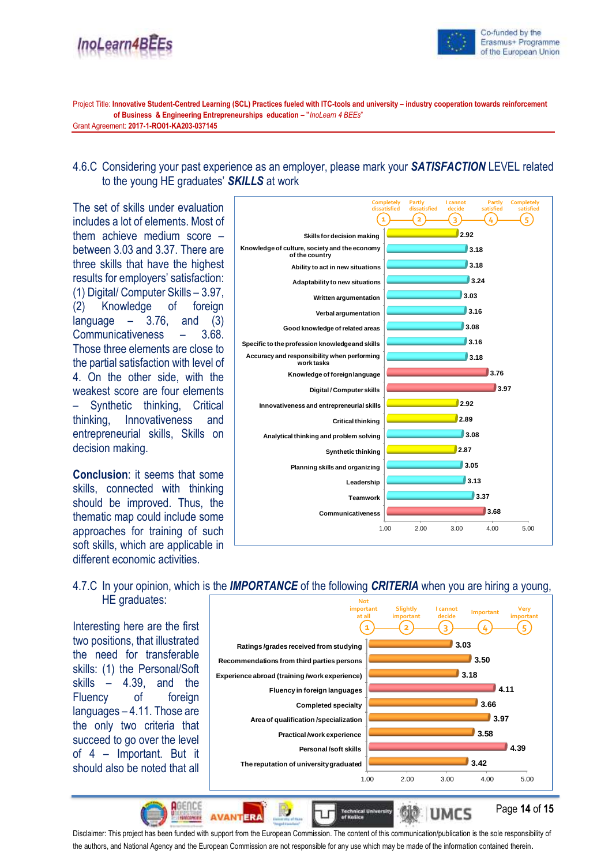



Project Title: **Innovative Student-Centred Learning (SCL) Practices fueled with ITC-tools and university – industry cooperation towards reinforcement of Business & Engineering Entrepreneurships education – "***InoLearn 4 BEEs*" Grant Agreement: **2017-1-RO01-KA203-037145**

## 4.6.C Considering your past experience as an employer, please mark your *SATISFACTION* LEVEL related to the young HE graduates' *SKILLS* at work

The set of skills under evaluation includes a lot of elements. Most of them achieve medium score – between 3.03 and 3.37. There are three skills that have the highest results for employers' satisfaction: (1) Digital/ Computer Skills – 3.97, (2) Knowledge of foreign language  $-$  3.76, and (3) Communicativeness – 3.68. Those three elements are close to the partial satisfaction with level of 4. On the other side, with the weakest score are four elements – Synthetic thinking, Critical thinking, Innovativeness and entrepreneurial skills, Skills on decision making.

**Conclusion**: it seems that some skills, connected with thinking should be improved. Thus, the thematic map could include some approaches for training of such soft skills, which are applicable in different economic activities.



# 4.7.C In your opinion, which is the *IMPORTANCE* of the following *CRITERIA* when you are hiring a young,

Interesting here are the first two positions, that illustrated the need for transferable skills: (1) the Personal/Soft skills – 4.39, and the Fluency of foreign languages – 4.11. Those are the only two criteria that succeed to go over the level of 4 – Important. But it should also be noted that all

**O**GENO

**AVANTERA** 

HE graduates:



**Technical Univer**<br>of Knšice

Page **14** of **15**

UMCS

Disclaimer: This project has been funded with support from the European Commission. The content of this communication/publication is the sole responsibility of the authors, and National Agency and the European Commission are not responsible for any use which may be made of the information contained therein.